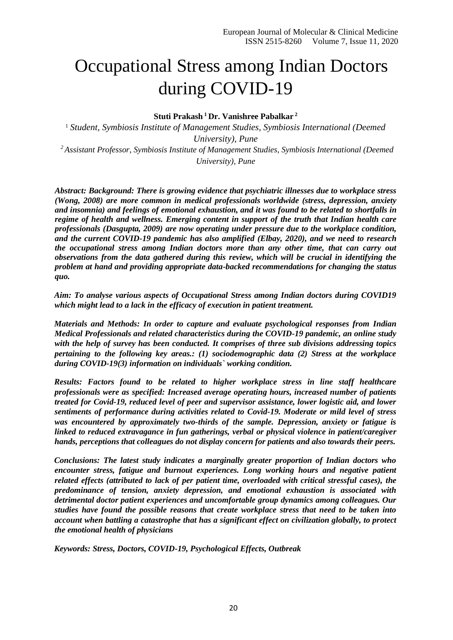# Occupational Stress among Indian Doctors during COVID-19

**Stuti Prakash <sup>1</sup>Dr. Vanishree Pabalkar <sup>2</sup>** 

<sup>1</sup> *Student, Symbiosis Institute of Management Studies, Symbiosis International (Deemed University), Pune <sup>2</sup>Assistant Professor, Symbiosis Institute of Management Studies, Symbiosis International (Deemed University), Pune*

*Abstract: Background: There is growing evidence that psychiatric illnesses due to workplace stress (Wong, 2008) are more common in medical professionals worldwide (stress, depression, anxiety and insomnia) and feelings of emotional exhaustion, and it was found to be related to shortfalls in regime of health and wellness. Emerging content in support of the truth that Indian health care professionals (Dasgupta, 2009) are now operating under pressure due to the workplace condition, and the current COVID-19 pandemic has also amplified (Elbay, 2020), and we need to research the occupational stress among Indian doctors more than any other time, that can carry out observations from the data gathered during this review, which will be crucial in identifying the problem at hand and providing appropriate data-backed recommendations for changing the status quo.* 

*Aim: To analyse various aspects of Occupational Stress among Indian doctors during COVID19 which might lead to a lack in the efficacy of execution in patient treatment.* 

*Materials and Methods: In order to capture and evaluate psychological responses from Indian Medical Professionals and related characteristics during the COVID-19 pandemic, an online study with the help of survey has been conducted. It comprises of three sub divisions addressing topics pertaining to the following key areas.: (1) sociodemographic data (2) Stress at the workplace during COVID-19(3) information on individuals` working condition.* 

*Results: Factors found to be related to higher workplace stress in line staff healthcare professionals were as specified: Increased average operating hours, increased number of patients treated for Covid-19, reduced level of peer and supervisor assistance, lower logistic aid, and lower sentiments of performance during activities related to Covid-19. Moderate or mild level of stress was encountered by approximately two-thirds of the sample. Depression, anxiety or fatigue is linked to reduced extravagance in fun gatherings, verbal or physical violence in patient/caregiver hands, perceptions that colleagues do not display concern for patients and also towards their peers.* 

*Conclusions: The latest study indicates a marginally greater proportion of Indian doctors who encounter stress, fatigue and burnout experiences. Long working hours and negative patient related effects (attributed to lack of per patient time, overloaded with critical stressful cases), the predominance of tension, anxiety depression, and emotional exhaustion is associated with detrimental doctor patient experiences and uncomfortable group dynamics among colleagues. Our studies have found the possible reasons that create workplace stress that need to be taken into account when battling a catastrophe that has a significant effect on civilization globally, to protect the emotional health of physicians* 

*Keywords: Stress, Doctors, COVID-19, Psychological Effects, Outbreak*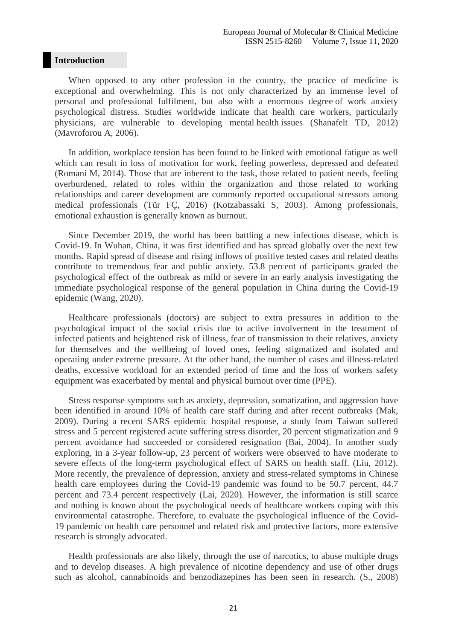#### **Introduction**

When opposed to any other profession in the country, the practice of medicine is exceptional and overwhelming. This is not only characterized by an immense level of personal and professional fulfilment, but also with a enormous degree of work anxiety psychological distress. Studies worldwide indicate that health care workers, particularly physicians, are vulnerable to developing mental health issues (Shanafelt TD, 2012) (Mavroforou A, 2006).

In addition, workplace tension has been found to be linked with emotional fatigue as well which can result in loss of motivation for work, feeling powerless, depressed and defeated (Romani M, 2014). Those that are inherent to the task, those related to patient needs, feeling overburdened, related to roles within the organization and those related to working relationships and career development are commonly reported occupational stressors among medical professionals (Tür FÇ, 2016) (Kotzabassaki S, 2003). Among professionals, emotional exhaustion is generally known as burnout.

Since December 2019, the world has been battling a new infectious disease, which is Covid-19. In Wuhan, China, it was first identified and has spread globally over the next few months. Rapid spread of disease and rising inflows of positive tested cases and related deaths contribute to tremendous fear and public anxiety. 53.8 percent of participants graded the psychological effect of the outbreak as mild or severe in an early analysis investigating the immediate psychological response of the general population in China during the Covid-19 epidemic (Wang, 2020).

Healthcare professionals (doctors) are subject to extra pressures in addition to the psychological impact of the social crisis due to active involvement in the treatment of infected patients and heightened risk of illness, fear of transmission to their relatives, anxiety for themselves and the wellbeing of loved ones, feeling stigmatized and isolated and operating under extreme pressure. At the other hand, the number of cases and illness-related deaths, excessive workload for an extended period of time and the loss of workers safety equipment was exacerbated by mental and physical burnout over time (PPE).

Stress response symptoms such as anxiety, depression, somatization, and aggression have been identified in around 10% of health care staff during and after recent outbreaks (Mak, 2009). During a recent SARS epidemic hospital response, a study from Taiwan suffered stress and 5 percent registered acute suffering stress disorder, 20 percent stigmatization and 9 percent avoidance had succeeded or considered resignation (Bai, 2004). In another study exploring, in a 3-year follow-up, 23 percent of workers were observed to have moderate to severe effects of the long-term psychological effect of SARS on health staff. (Liu, 2012). More recently, the prevalence of depression, anxiety and stress-related symptoms in Chinese health care employees during the Covid-19 pandemic was found to be 50.7 percent, 44.7 percent and 73.4 percent respectively (Lai, 2020). However, the information is still scarce and nothing is known about the psychological needs of healthcare workers coping with this environmental catastrophe. Therefore, to evaluate the psychological influence of the Covid-19 pandemic on health care personnel and related risk and protective factors, more extensive research is strongly advocated.

Health professionals are also likely, through the use of narcotics, to abuse multiple drugs and to develop diseases. A high prevalence of nicotine dependency and use of other drugs such as alcohol, cannabinoids and benzodiazepines has been seen in research. (S., 2008)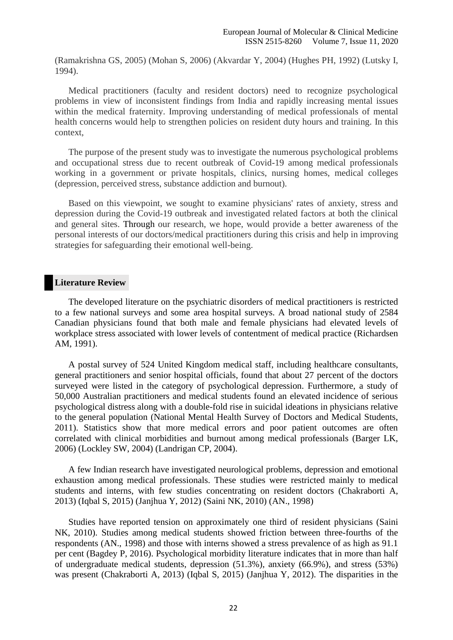(Ramakrishna GS, 2005) (Mohan S, 2006) (Akvardar Y, 2004) (Hughes PH, 1992) (Lutsky I, 1994).

Medical practitioners (faculty and resident doctors) need to recognize psychological problems in view of inconsistent findings from India and rapidly increasing mental issues within the medical fraternity. Improving understanding of medical professionals of mental health concerns would help to strengthen policies on resident duty hours and training. In this context,

The purpose of the present study was to investigate the numerous psychological problems and occupational stress due to recent outbreak of Covid-19 among medical professionals working in a government or private hospitals, clinics, nursing homes, medical colleges (depression, perceived stress, substance addiction and burnout).

Based on this viewpoint, we sought to examine physicians' rates of anxiety, stress and depression during the Covid-19 outbreak and investigated related factors at both the clinical and general sites. Through our research, we hope, would provide a better awareness of the personal interests of our doctors/medical practitioners during this crisis and help in improving strategies for safeguarding their emotional well-being.

#### **Literature Review**

The developed literature on the psychiatric disorders of medical practitioners is restricted to a few national surveys and some area hospital surveys. A broad national study of 2584 Canadian physicians found that both male and female physicians had elevated levels of workplace stress associated with lower levels of contentment of medical practice (Richardsen AM, 1991).

A postal survey of 524 United Kingdom medical staff, including healthcare consultants, general practitioners and senior hospital officials, found that about 27 percent of the doctors surveyed were listed in the category of psychological depression. Furthermore, a study of 50,000 Australian practitioners and medical students found an elevated incidence of serious psychological distress along with a double-fold rise in suicidal ideations in physicians relative to the general population (National Mental Health Survey of Doctors and Medical Students, 2011). Statistics show that more medical errors and poor patient outcomes are often correlated with clinical morbidities and burnout among medical professionals (Barger LK, 2006) (Lockley SW, 2004) (Landrigan CP, 2004).

A few Indian research have investigated neurological problems, depression and emotional exhaustion among medical professionals. These studies were restricted mainly to medical students and interns, with few studies concentrating on resident doctors (Chakraborti A, 2013) (Iqbal S, 2015) (Janjhua Y, 2012) (Saini NK, 2010) (AN., 1998)

Studies have reported tension on approximately one third of resident physicians (Saini NK, 2010). Studies among medical students showed friction between three-fourths of the respondents (AN., 1998) and those with interns showed a stress prevalence of as high as 91.1 per cent (Bagdey P, 2016). Psychological morbidity literature indicates that in more than half of undergraduate medical students, depression (51.3%), anxiety (66.9%), and stress (53%) was present (Chakraborti A, 2013) (Iqbal S, 2015) (Janjhua Y, 2012). The disparities in the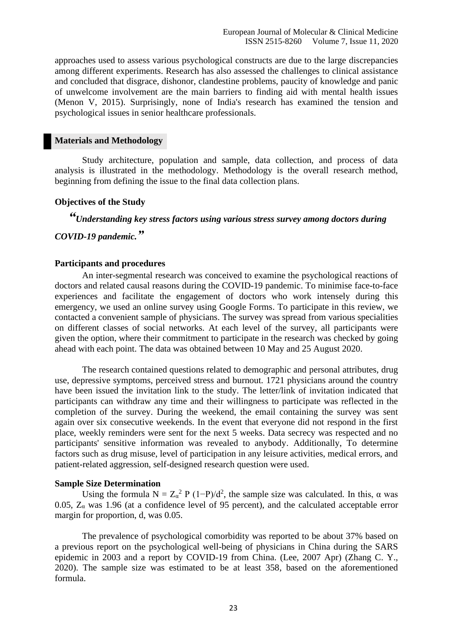approaches used to assess various psychological constructs are due to the large discrepancies among different experiments. Research has also assessed the challenges to clinical assistance and concluded that disgrace, dishonor, clandestine problems, paucity of knowledge and panic of unwelcome involvement are the main barriers to finding aid with mental health issues (Menon V, 2015). Surprisingly, none of India's research has examined the tension and psychological issues in senior healthcare professionals.

#### **Materials and Methodology**

Study architecture, population and sample, data collection, and process of data analysis is illustrated in the methodology. Methodology is the overall research method, beginning from defining the issue to the final data collection plans.

#### **Objectives of the Study**

# *"Understanding key stress factors using various stress survey among doctors during*

# *COVID-19 pandemic."*

#### **Participants and procedures**

An inter-segmental research was conceived to examine the psychological reactions of doctors and related causal reasons during the COVID-19 pandemic. To minimise face-to-face experiences and facilitate the engagement of doctors who work intensely during this emergency, we used an online survey using Google Forms. To participate in this review, we contacted a convenient sample of physicians. The survey was spread from various specialities on different classes of social networks. At each level of the survey, all participants were given the option, where their commitment to participate in the research was checked by going ahead with each point. The data was obtained between 10 May and 25 August 2020.

The research contained questions related to demographic and personal attributes, drug use, depressive symptoms, perceived stress and burnout. 1721 physicians around the country have been issued the invitation link to the study. The letter/link of invitation indicated that participants can withdraw any time and their willingness to participate was reflected in the completion of the survey. During the weekend, the email containing the survey was sent again over six consecutive weekends. In the event that everyone did not respond in the first place, weekly reminders were sent for the next 5 weeks. Data secrecy was respected and no participants' sensitive information was revealed to anybody. Additionally, To determine factors such as drug misuse, level of participation in any leisure activities, medical errors, and patient-related aggression, self-designed research question were used.

#### **Sample Size Determination**

Using the formula  $N = Z_{\alpha}^2 P (1-P)/d^2$ , the sample size was calculated. In this,  $\alpha$  was 0.05,  $Z_{\alpha}$  was 1.96 (at a confidence level of 95 percent), and the calculated acceptable error margin for proportion, d, was 0.05.

The prevalence of psychological comorbidity was reported to be about 37% based on a previous report on the psychological well-being of physicians in China during the SARS epidemic in 2003 and a report by COVID-19 from China. (Lee, 2007 Apr) (Zhang C. Y., 2020). The sample size was estimated to be at least 358, based on the aforementioned formula.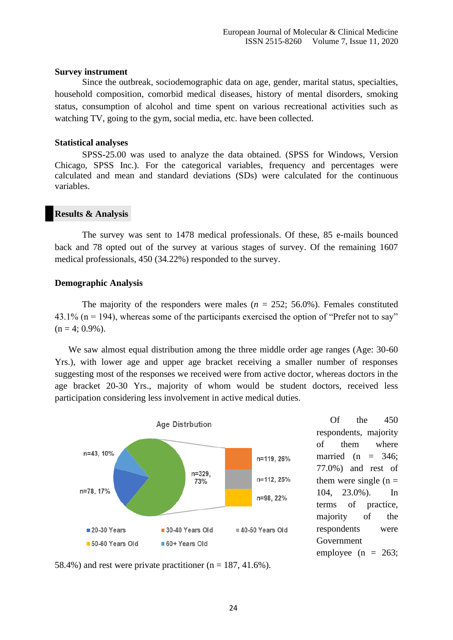#### **Survey instrument**

Since the outbreak, sociodemographic data on age, gender, marital status, specialties, household composition, comorbid medical diseases, history of mental disorders, smoking status, consumption of alcohol and time spent on various recreational activities such as watching TV, going to the gym, social media, etc. have been collected.

#### **Statistical analyses**

SPSS-25.00 was used to analyze the data obtained. (SPSS for Windows, Version Chicago, SPSS Inc.). For the categorical variables, frequency and percentages were calculated and mean and standard deviations (SDs) were calculated for the continuous variables.

#### **Results & Analysis**

The survey was sent to 1478 medical professionals. Of these, 85 e-mails bounced back and 78 opted out of the survey at various stages of survey. Of the remaining 1607 medical professionals, 450 (34.22%) responded to the survey.

#### **Demographic Analysis**

The majority of the responders were males ( $n = 252$ ; 56.0%). Females constituted 43.1% ( $n = 194$ ), whereas some of the participants exercised the option of "Prefer not to say"  $(n = 4; 0.9\%)$ .

We saw almost equal distribution among the three middle order age ranges (Age: 30-60 Yrs.), with lower age and upper age bracket receiving a smaller number of responses suggesting most of the responses we received were from active doctor, whereas doctors in the age bracket 20-30 Yrs., majority of whom would be student doctors, received less participation considering less involvement in active medical duties.



Of the 450 respondents, majority of them where married (n  $=$  346; 77.0%) and rest of them were single  $(n =$ 104, 23.0%). In terms of practice, majority of the respondents were Government employee ( $n = 263$ ;

58.4%) and rest were private practitioner ( $n = 187, 41.6\%$ ).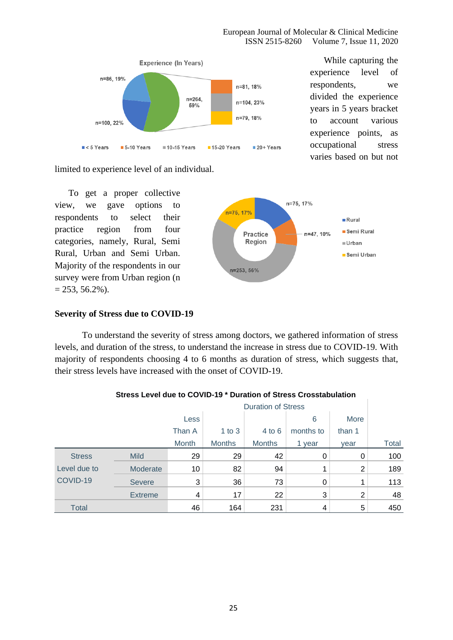European Journal of Molecular & Clinical Medicine ISSN 2515-8260 Volume 7, Issue 11, 2020



While capturing the experience level of respondents, we divided the experience years in 5 years bracket to account various experience points, as occupational stress varies based on but not

limited to experience level of an individual.

To get a proper collective view, we gave options to respondents to select their practice region from four categories, namely, Rural, Semi Rural, Urban and Semi Urban. Majority of the respondents in our survey were from Urban region (n  $= 253, 56.2\%$ ).



#### **Severity of Stress due to COVID-19**

To understand the severity of stress among doctors, we gathered information of stress levels, and duration of the stress, to understand the increase in stress due to COVID-19. With majority of respondents choosing 4 to 6 months as duration of stress, which suggests that, their stress levels have increased with the onset of COVID-19.

|               |                | Less   |               |               | 6         | More           |              |
|---------------|----------------|--------|---------------|---------------|-----------|----------------|--------------|
|               |                | Than A | 1 to $3$      | $4$ to 6      | months to | than 1         |              |
|               |                | Month  | <b>Months</b> | <b>Months</b> | 1 year    | year           | <b>Total</b> |
| <b>Stress</b> | <b>Mild</b>    | 29     | 29            | 42            | 0         | 0              | 100          |
| Level due to  | Moderate       | 10     | 82            | 94            | 1         | $\overline{2}$ | 189          |
| COVID-19      | <b>Severe</b>  | 3      | 36            | 73            | 0         |                | 113          |
|               | <b>Extreme</b> | 4      | 17            | 22            | 3         | $\overline{2}$ | 48           |
| <b>Total</b>  |                | 46     | 164           | 231           | 4         | 5              | 450          |

#### **Stress Level due to COVID-19 \* Duration of Stress Crosstabulation**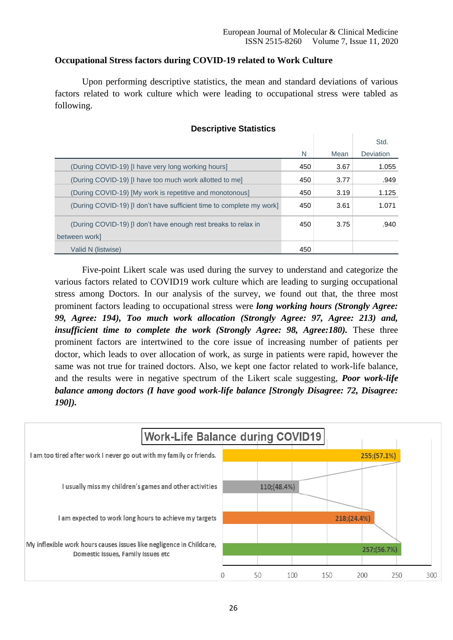# **Occupational Stress factors during COVID-19 related to Work Culture**

Upon performing descriptive statistics, the mean and standard deviations of various factors related to work culture which were leading to occupational stress were tabled as following.

|                                                                      |     |      | Std.      |
|----------------------------------------------------------------------|-----|------|-----------|
|                                                                      | N   | Mean | Deviation |
| (During COVID-19) [I have very long working hours]                   | 450 | 3.67 | 1.055     |
| (During COVID-19) [I have too much work allotted to me]              | 450 | 3.77 | .949      |
| (During COVID-19) [My work is repetitive and monotonous]             | 450 | 3.19 | 1.125     |
| (During COVID-19) [I don't have sufficient time to complete my work] | 450 | 3.61 | 1.071     |
| (During COVID-19) [I don't have enough rest breaks to relax in       | 450 | 3.75 | .940      |
| between work]                                                        |     |      |           |
| Valid N (listwise)                                                   | 450 |      |           |

#### **Descriptive Statistics**

Five-point Likert scale was used during the survey to understand and categorize the various factors related to COVID19 work culture which are leading to surging occupational stress among Doctors. In our analysis of the survey, we found out that, the three most prominent factors leading to occupational stress were *long working hours (Strongly Agree: 99, Agree: 194), Too much work allocation (Strongly Agree: 97, Agree: 213) and, insufficient time to complete the work (Strongly Agree: 98, Agree:180).* These three prominent factors are intertwined to the core issue of increasing number of patients per doctor, which leads to over allocation of work, as surge in patients were rapid, however the same was not true for trained doctors. Also, we kept one factor related to work-life balance, and the results were in negative spectrum of the Likert scale suggesting, *Poor work-life balance among doctors (I have good work-life balance [Strongly Disagree: 72, Disagree: 190]).*

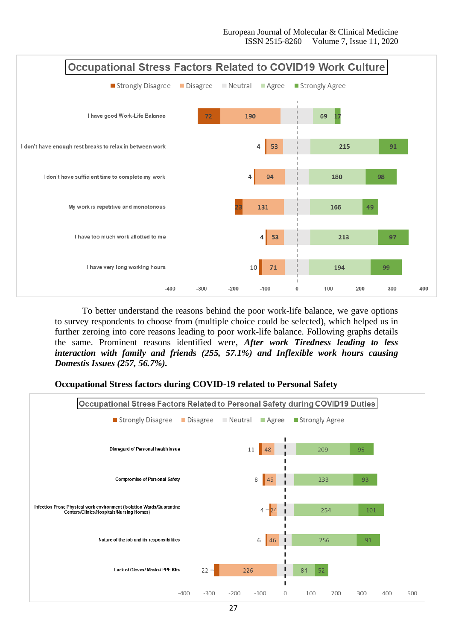

To better understand the reasons behind the poor work-life balance, we gave options to survey respondents to choose from (multiple choice could be selected), which helped us in further zeroing into core reasons leading to poor work-life balance. Following graphs details the same. Prominent reasons identified were, *After work Tiredness leading to less interaction with family and friends (255, 57.1%) and Inflexible work hours causing Domestis Issues (257, 56.7%).*

#### **Occupational Stress factors during COVID-19 related to Personal Safety**

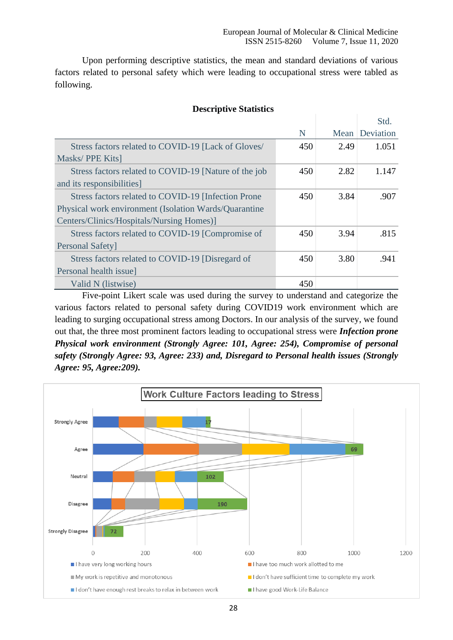Upon performing descriptive statistics, the mean and standard deviations of various factors related to personal safety which were leading to occupational stress were tabled as following.

|                                                       |     |      | Std.           |
|-------------------------------------------------------|-----|------|----------------|
|                                                       | N   |      | Mean Deviation |
| Stress factors related to COVID-19 [Lack of Gloves/   | 450 | 2.49 | 1.051          |
| Masks/PPE Kits]                                       |     |      |                |
| Stress factors related to COVID-19 [Nature of the job | 450 | 2.82 | 1.147          |
| and its responsibilities]                             |     |      |                |
| Stress factors related to COVID-19 [Infection Prone]  | 450 | 3.84 | .907           |
| Physical work environment (Isolation Wards/Quarantine |     |      |                |
| Centers/Clinics/Hospitals/Nursing Homes)]             |     |      |                |
| Stress factors related to COVID-19 [Compromise of     | 450 | 3.94 | .815           |
| <b>Personal Safety</b>                                |     |      |                |
| Stress factors related to COVID-19 [Disregard of      | 450 | 3.80 | .941           |
| Personal health issue]                                |     |      |                |
| Valid N (listwise)                                    | 450 |      |                |

#### **Descriptive Statistics**

Five-point Likert scale was used during the survey to understand and categorize the various factors related to personal safety during COVID19 work environment which are leading to surging occupational stress among Doctors. In our analysis of the survey, we found out that, the three most prominent factors leading to occupational stress were *Infection prone Physical work environment (Strongly Agree: 101, Agree: 254), Compromise of personal safety (Strongly Agree: 93, Agree: 233) and, Disregard to Personal health issues (Strongly Agree: 95, Agree:209).*

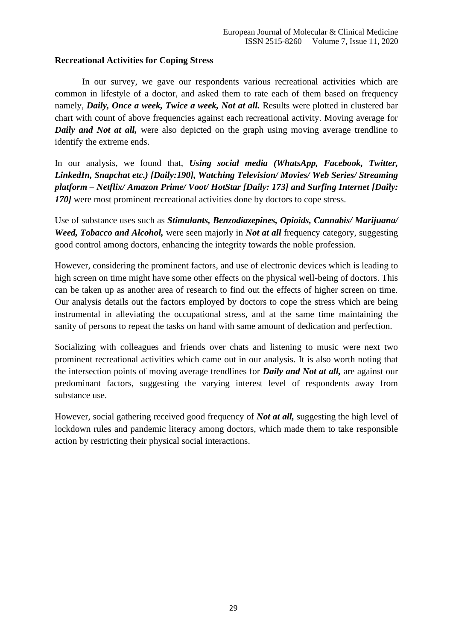# **Recreational Activities for Coping Stress**

In our survey, we gave our respondents various recreational activities which are common in lifestyle of a doctor, and asked them to rate each of them based on frequency namely, *Daily, Once a week, Twice a week, Not at all.* Results were plotted in clustered bar chart with count of above frequencies against each recreational activity. Moving average for *Daily and Not at all,* were also depicted on the graph using moving average trendline to identify the extreme ends.

In our analysis, we found that, *Using social media (WhatsApp, Facebook, Twitter, LinkedIn, Snapchat etc.) [Daily:190], Watching Television/ Movies/ Web Series/ Streaming platform – Netflix/ Amazon Prime/ Voot/ HotStar [Daily: 173] and Surfing Internet [Daily: 170]* were most prominent recreational activities done by doctors to cope stress.

Use of substance uses such as *Stimulants, Benzodiazepines, Opioids, Cannabis/ Marijuana/ Weed, Tobacco and Alcohol, were seen majorly in <i>Not at all frequency category, suggesting* good control among doctors, enhancing the integrity towards the noble profession.

However, considering the prominent factors, and use of electronic devices which is leading to high screen on time might have some other effects on the physical well-being of doctors. This can be taken up as another area of research to find out the effects of higher screen on time. Our analysis details out the factors employed by doctors to cope the stress which are being instrumental in alleviating the occupational stress, and at the same time maintaining the sanity of persons to repeat the tasks on hand with same amount of dedication and perfection.

Socializing with colleagues and friends over chats and listening to music were next two prominent recreational activities which came out in our analysis. It is also worth noting that the intersection points of moving average trendlines for *Daily and Not at all,* are against our predominant factors, suggesting the varying interest level of respondents away from substance use.

However, social gathering received good frequency of *Not at all,* suggesting the high level of lockdown rules and pandemic literacy among doctors, which made them to take responsible action by restricting their physical social interactions.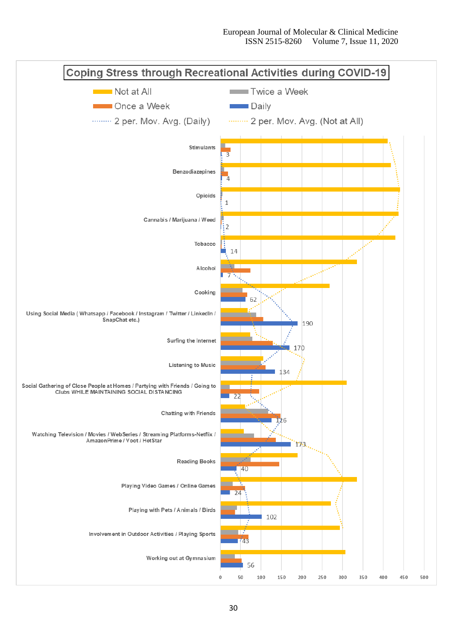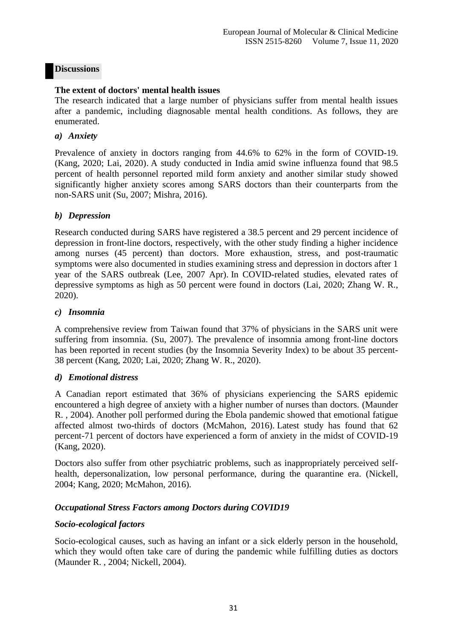# **Discussions**

#### **The extent of doctors' mental health issues**

The research indicated that a large number of physicians suffer from mental health issues after a pandemic, including diagnosable mental health conditions. As follows, they are enumerated.

#### *a) Anxiety*

Prevalence of anxiety in doctors ranging from 44.6% to 62% in the form of COVID-19. (Kang, 2020; Lai, 2020). A study conducted in India amid swine influenza found that 98.5 percent of health personnel reported mild form anxiety and another similar study showed significantly higher anxiety scores among SARS doctors than their counterparts from the non-SARS unit (Su, 2007; Mishra, 2016).

#### *b) Depression*

Research conducted during SARS have registered a 38.5 percent and 29 percent incidence of depression in front-line doctors, respectively, with the other study finding a higher incidence among nurses (45 percent) than doctors. More exhaustion, stress, and post-traumatic symptoms were also documented in studies examining stress and depression in doctors after 1 year of the SARS outbreak (Lee, 2007 Apr). In COVID-related studies, elevated rates of depressive symptoms as high as 50 percent were found in doctors (Lai, 2020; Zhang W. R., 2020).

#### *c) Insomnia*

A comprehensive review from Taiwan found that 37% of physicians in the SARS unit were suffering from insomnia. (Su, 2007). The prevalence of insomnia among front-line doctors has been reported in recent studies (by the Insomnia Severity Index) to be about 35 percent-38 percent (Kang, 2020; Lai, 2020; Zhang W. R., 2020).

#### *d) Emotional distress*

A Canadian report estimated that 36% of physicians experiencing the SARS epidemic encountered a high degree of anxiety with a higher number of nurses than doctors. (Maunder R. , 2004). Another poll performed during the Ebola pandemic showed that emotional fatigue affected almost two-thirds of doctors (McMahon, 2016). Latest study has found that 62 percent-71 percent of doctors have experienced a form of anxiety in the midst of COVID-19 (Kang, 2020).

Doctors also suffer from other psychiatric problems, such as inappropriately perceived selfhealth, depersonalization, low personal performance, during the quarantine era. (Nickell, 2004; Kang, 2020; McMahon, 2016).

# *Occupational Stress Factors among Doctors during COVID19*

# *Socio-ecological factors*

Socio-ecological causes, such as having an infant or a sick elderly person in the household, which they would often take care of during the pandemic while fulfilling duties as doctors (Maunder R. , 2004; Nickell, 2004).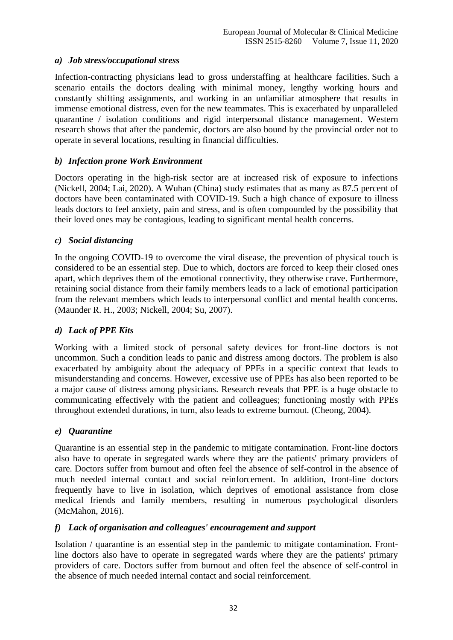# *a) Job stress/occupational stress*

Infection-contracting physicians lead to gross understaffing at healthcare facilities. Such a scenario entails the doctors dealing with minimal money, lengthy working hours and constantly shifting assignments, and working in an unfamiliar atmosphere that results in immense emotional distress, even for the new teammates. This is exacerbated by unparalleled quarantine / isolation conditions and rigid interpersonal distance management. Western research shows that after the pandemic, doctors are also bound by the provincial order not to operate in several locations, resulting in financial difficulties.

# *b) Infection prone Work Environment*

Doctors operating in the high-risk sector are at increased risk of exposure to infections (Nickell, 2004; Lai, 2020). A Wuhan (China) study estimates that as many as 87.5 percent of doctors have been contaminated with COVID-19. Such a high chance of exposure to illness leads doctors to feel anxiety, pain and stress, and is often compounded by the possibility that their loved ones may be contagious, leading to significant mental health concerns.

#### *c) Social distancing*

In the ongoing COVID-19 to overcome the viral disease, the prevention of physical touch is considered to be an essential step. Due to which, doctors are forced to keep their closed ones apart, which deprives them of the emotional connectivity, they otherwise crave. Furthermore, retaining social distance from their family members leads to a lack of emotional participation from the relevant members which leads to interpersonal conflict and mental health concerns. (Maunder R. H., 2003; Nickell, 2004; Su, 2007).

# *d) Lack of PPE Kits*

Working with a limited stock of personal safety devices for front-line doctors is not uncommon. Such a condition leads to panic and distress among doctors. The problem is also exacerbated by ambiguity about the adequacy of PPEs in a specific context that leads to misunderstanding and concerns. However, excessive use of PPEs has also been reported to be a major cause of distress among physicians. Research reveals that PPE is a huge obstacle to communicating effectively with the patient and colleagues; functioning mostly with PPEs throughout extended durations, in turn, also leads to extreme burnout. (Cheong, 2004).

#### *e) Quarantine*

Quarantine is an essential step in the pandemic to mitigate contamination. Front-line doctors also have to operate in segregated wards where they are the patients' primary providers of care. Doctors suffer from burnout and often feel the absence of self-control in the absence of much needed internal contact and social reinforcement. In addition, front-line doctors frequently have to live in isolation, which deprives of emotional assistance from close medical friends and family members, resulting in numerous psychological disorders (McMahon, 2016).

#### *f) Lack of organisation and colleagues' encouragement and support*

Isolation / quarantine is an essential step in the pandemic to mitigate contamination. Frontline doctors also have to operate in segregated wards where they are the patients' primary providers of care. Doctors suffer from burnout and often feel the absence of self-control in the absence of much needed internal contact and social reinforcement.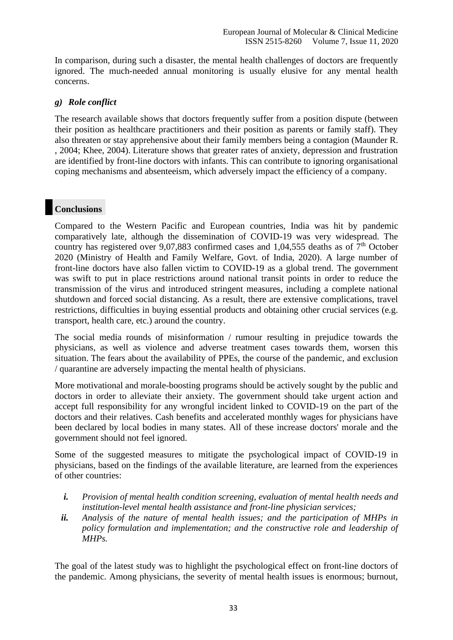In comparison, during such a disaster, the mental health challenges of doctors are frequently ignored. The much-needed annual monitoring is usually elusive for any mental health concerns.

# *g) Role conflict*

The research available shows that doctors frequently suffer from a position dispute (between their position as healthcare practitioners and their position as parents or family staff). They also threaten or stay apprehensive about their family members being a contagion (Maunder R. , 2004; Khee, 2004). Literature shows that greater rates of anxiety, depression and frustration are identified by front-line doctors with infants. This can contribute to ignoring organisational coping mechanisms and absenteeism, which adversely impact the efficiency of a company.

# **Conclusions**

Compared to the Western Pacific and European countries, India was hit by pandemic comparatively late, although the dissemination of COVID-19 was very widespread. The country has registered over 9,07,883 confirmed cases and 1,04,555 deaths as of  $7<sup>th</sup>$  October 2020 (Ministry of Health and Family Welfare, Govt. of India, 2020). A large number of front-line doctors have also fallen victim to COVID-19 as a global trend. The government was swift to put in place restrictions around national transit points in order to reduce the transmission of the virus and introduced stringent measures, including a complete national shutdown and forced social distancing. As a result, there are extensive complications, travel restrictions, difficulties in buying essential products and obtaining other crucial services (e.g. transport, health care, etc.) around the country.

The social media rounds of misinformation / rumour resulting in prejudice towards the physicians, as well as violence and adverse treatment cases towards them, worsen this situation. The fears about the availability of PPEs, the course of the pandemic, and exclusion / quarantine are adversely impacting the mental health of physicians.

More motivational and morale-boosting programs should be actively sought by the public and doctors in order to alleviate their anxiety. The government should take urgent action and accept full responsibility for any wrongful incident linked to COVID-19 on the part of the doctors and their relatives. Cash benefits and accelerated monthly wages for physicians have been declared by local bodies in many states. All of these increase doctors' morale and the government should not feel ignored.

Some of the suggested measures to mitigate the psychological impact of COVID-19 in physicians, based on the findings of the available literature, are learned from the experiences of other countries:

- *i. Provision of mental health condition screening, evaluation of mental health needs and institution-level mental health assistance and front-line physician services;*
- *ii. Analysis of the nature of mental health issues; and the participation of MHPs in policy formulation and implementation; and the constructive role and leadership of MHPs.*

The goal of the latest study was to highlight the psychological effect on front-line doctors of the pandemic. Among physicians, the severity of mental health issues is enormous; burnout,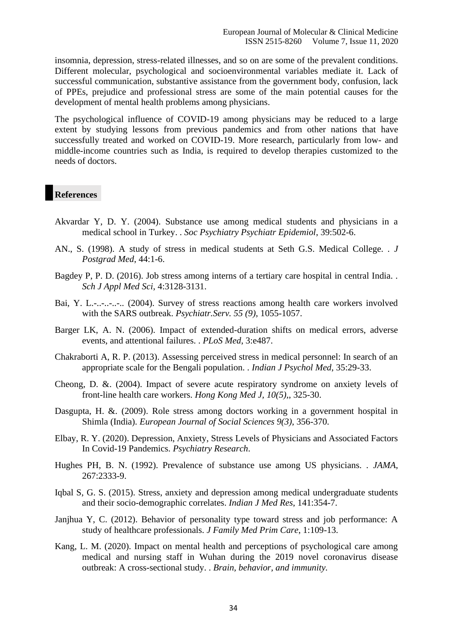insomnia, depression, stress-related illnesses, and so on are some of the prevalent conditions. Different molecular, psychological and socioenvironmental variables mediate it. Lack of successful communication, substantive assistance from the government body, confusion, lack of PPEs, prejudice and professional stress are some of the main potential causes for the development of mental health problems among physicians.

The psychological influence of COVID-19 among physicians may be reduced to a large extent by studying lessons from previous pandemics and from other nations that have successfully treated and worked on COVID-19. More research, particularly from low- and middle-income countries such as India, is required to develop therapies customized to the needs of doctors.

#### **References**

- Akvardar Y, D. Y. (2004). Substance use among medical students and physicians in a medical school in Turkey. . *Soc Psychiatry Psychiatr Epidemiol*, 39:502-6.
- AN., S. (1998). A study of stress in medical students at Seth G.S. Medical College. . *J Postgrad Med*, 44:1-6.
- Bagdey P, P. D. (2016). Job stress among interns of a tertiary care hospital in central India. . *Sch J Appl Med Sci*, 4:3128-3131.
- Bai, Y. L.-..-..-... (2004). Survey of stress reactions among health care workers involved with the SARS outbreak. *Psychiatr.Serv. 55 (9)*, 1055-1057.
- Barger LK, A. N. (2006). Impact of extended-duration shifts on medical errors, adverse events, and attentional failures. . *PLoS Med*, 3:e487.
- Chakraborti A, R. P. (2013). Assessing perceived stress in medical personnel: In search of an appropriate scale for the Bengali population. . *Indian J Psychol Med*, 35:29-33.
- Cheong, D. &. (2004). Impact of severe acute respiratory syndrome on anxiety levels of front-line health care workers. *Hong Kong Med J, 10(5),*, 325-30.
- Dasgupta, H. &. (2009). Role stress among doctors working in a government hospital in Shimla (India). *European Journal of Social Sciences 9(3)*, 356-370.
- Elbay, R. Y. (2020). Depression, Anxiety, Stress Levels of Physicians and Associated Factors In Covid-19 Pandemics. *Psychiatry Research*.
- Hughes PH, B. N. (1992). Prevalence of substance use among US physicians. . *JAMA*, 267:2333-9.
- Iqbal S, G. S. (2015). Stress, anxiety and depression among medical undergraduate students and their socio-demographic correlates. *Indian J Med Res*, 141:354-7.
- Janjhua Y, C. (2012). Behavior of personality type toward stress and job performance: A study of healthcare professionals. *J Family Med Prim Care*, 1:109-13.
- Kang, L. M. (2020). Impact on mental health and perceptions of psychological care among medical and nursing staff in Wuhan during the 2019 novel coronavirus disease outbreak: A cross-sectional study. . *Brain, behavior, and immunity.*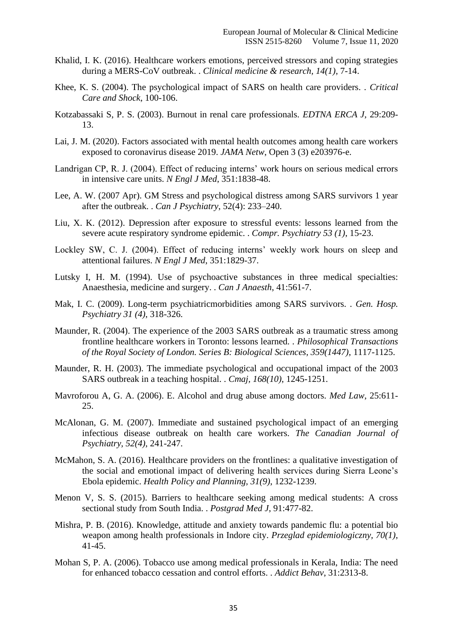- Khalid, I. K. (2016). Healthcare workers emotions, perceived stressors and coping strategies during a MERS-CoV outbreak. . *Clinical medicine & research, 14(1)*, 7-14.
- Khee, K. S. (2004). The psychological impact of SARS on health care providers. . *Critical Care and Shock*, 100-106.
- Kotzabassaki S, P. S. (2003). Burnout in renal care professionals. *EDTNA ERCA J*, 29:209- 13.
- Lai, J. M. (2020). Factors associated with mental health outcomes among health care workers exposed to coronavirus disease 2019. *JAMA Netw*, Open 3 (3) e203976-e.
- Landrigan CP, R. J. (2004). Effect of reducing interns' work hours on serious medical errors in intensive care units. *N Engl J Med*, 351:1838-48.
- Lee, A. W. (2007 Apr). GM Stress and psychological distress among SARS survivors 1 year after the outbreak. . *Can J Psychiatry*, 52(4): 233–240.
- Liu, X. K. (2012). Depression after exposure to stressful events: lessons learned from the severe acute respiratory syndrome epidemic. . *Compr. Psychiatry 53 (1)*, 15-23.
- Lockley SW, C. J. (2004). Effect of reducing interns' weekly work hours on sleep and attentional failures. *N Engl J Med*, 351:1829-37.
- Lutsky I, H. M. (1994). Use of psychoactive substances in three medical specialties: Anaesthesia, medicine and surgery. . *Can J Anaesth*, 41:561-7.
- Mak, I. C. (2009). Long-term psychiatricmorbidities among SARS survivors. . *Gen. Hosp. Psychiatry 31 (4)*, 318-326.
- Maunder, R. (2004). The experience of the 2003 SARS outbreak as a traumatic stress among frontline healthcare workers in Toronto: lessons learned. . *Philosophical Transactions of the Royal Society of London. Series B: Biological Sciences, 359(1447)*, 1117-1125.
- Maunder, R. H. (2003). The immediate psychological and occupational impact of the 2003 SARS outbreak in a teaching hospital. . *Cmaj, 168(10)*, 1245-1251.
- Mavroforou A, G. A. (2006). E. Alcohol and drug abuse among doctors. *Med Law*, 25:611- 25.
- McAlonan, G. M. (2007). Immediate and sustained psychological impact of an emerging infectious disease outbreak on health care workers. *The Canadian Journal of Psychiatry, 52(4)*, 241-247.
- McMahon, S. A. (2016). Healthcare providers on the frontlines: a qualitative investigation of the social and emotional impact of delivering health services during Sierra Leone's Ebola epidemic. *Health Policy and Planning, 31(9)*, 1232-1239.
- Menon V, S. S. (2015). Barriers to healthcare seeking among medical students: A cross sectional study from South India. . *Postgrad Med J*, 91:477-82.
- Mishra, P. B. (2016). Knowledge, attitude and anxiety towards pandemic flu: a potential bio weapon among health professionals in Indore city. *Przeglad epidemiologiczny, 70(1)*, 41-45.
- Mohan S, P. A. (2006). Tobacco use among medical professionals in Kerala, India: The need for enhanced tobacco cessation and control efforts. . *Addict Behav*, 31:2313-8.